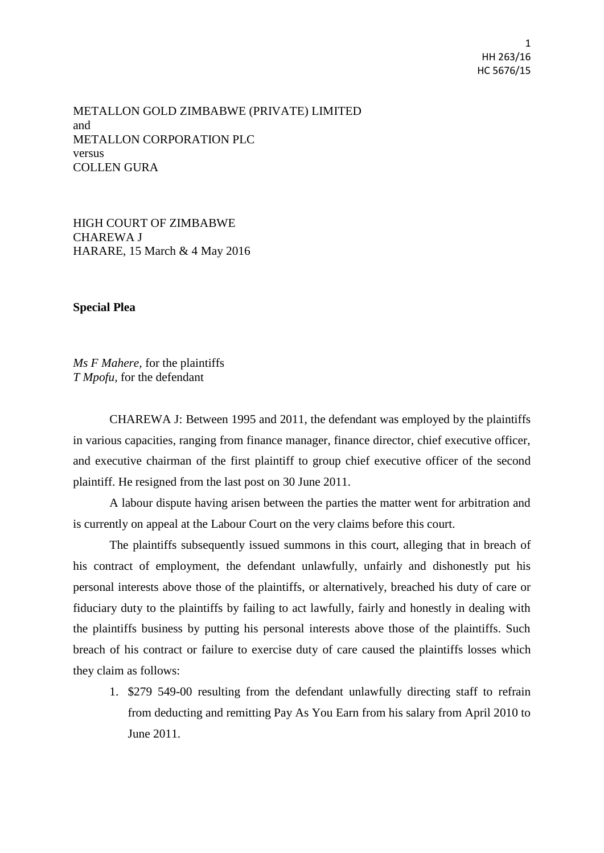METALLON GOLD ZIMBABWE (PRIVATE) LIMITED and METALLON CORPORATION PLC versus COLLEN GURA

HIGH COURT OF ZIMBABWE CHAREWA J HARARE, 15 March & 4 May 2016

#### **Special Plea**

*Ms F Mahere,* for the plaintiffs *T Mpofu,* for the defendant

CHAREWA J: Between 1995 and 2011, the defendant was employed by the plaintiffs in various capacities, ranging from finance manager, finance director, chief executive officer, and executive chairman of the first plaintiff to group chief executive officer of the second plaintiff. He resigned from the last post on 30 June 2011.

A labour dispute having arisen between the parties the matter went for arbitration and is currently on appeal at the Labour Court on the very claims before this court.

The plaintiffs subsequently issued summons in this court, alleging that in breach of his contract of employment, the defendant unlawfully, unfairly and dishonestly put his personal interests above those of the plaintiffs, or alternatively, breached his duty of care or fiduciary duty to the plaintiffs by failing to act lawfully, fairly and honestly in dealing with the plaintiffs business by putting his personal interests above those of the plaintiffs. Such breach of his contract or failure to exercise duty of care caused the plaintiffs losses which they claim as follows:

1. \$279 549-00 resulting from the defendant unlawfully directing staff to refrain from deducting and remitting Pay As You Earn from his salary from April 2010 to June 2011.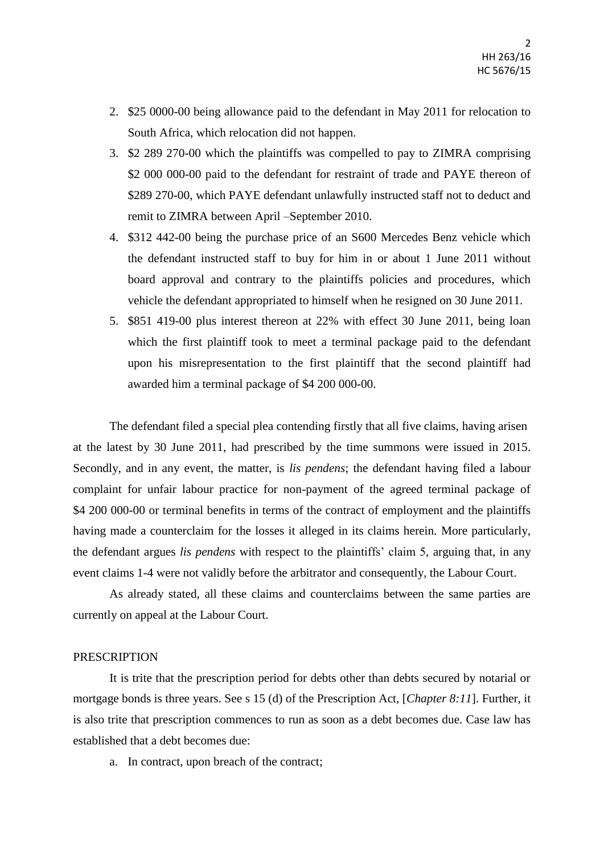- 2. \$25 0000-00 being allowance paid to the defendant in May 2011 for relocation to South Africa, which relocation did not happen.
- 3. \$2 289 270-00 which the plaintiffs was compelled to pay to ZIMRA comprising \$2 000 000-00 paid to the defendant for restraint of trade and PAYE thereon of \$289 270-00, which PAYE defendant unlawfully instructed staff not to deduct and remit to ZIMRA between April –September 2010.
- 4. \$312 442-00 being the purchase price of an S600 Mercedes Benz vehicle which the defendant instructed staff to buy for him in or about 1 June 2011 without board approval and contrary to the plaintiffs policies and procedures, which vehicle the defendant appropriated to himself when he resigned on 30 June 2011.
- 5. \$851 419-00 plus interest thereon at 22% with effect 30 June 2011, being loan which the first plaintiff took to meet a terminal package paid to the defendant upon his misrepresentation to the first plaintiff that the second plaintiff had awarded him a terminal package of \$4 200 000-00.

The defendant filed a special plea contending firstly that all five claims, having arisen at the latest by 30 June 2011, had prescribed by the time summons were issued in 2015. Secondly, and in any event, the matter, is *lis pendens*; the defendant having filed a labour complaint for unfair labour practice for non-payment of the agreed terminal package of \$4 200 000-00 or terminal benefits in terms of the contract of employment and the plaintiffs having made a counterclaim for the losses it alleged in its claims herein. More particularly, the defendant argues *lis pendens* with respect to the plaintiffs' claim 5, arguing that, in any event claims 1-4 were not validly before the arbitrator and consequently, the Labour Court.

As already stated, all these claims and counterclaims between the same parties are currently on appeal at the Labour Court.

#### **PRESCRIPTION**

It is trite that the prescription period for debts other than debts secured by notarial or mortgage bonds is three years. See s 15 (d) of the Prescription Act, [*Chapter 8:11*]. Further, it is also trite that prescription commences to run as soon as a debt becomes due. Case law has established that a debt becomes due:

a. In contract, upon breach of the contract;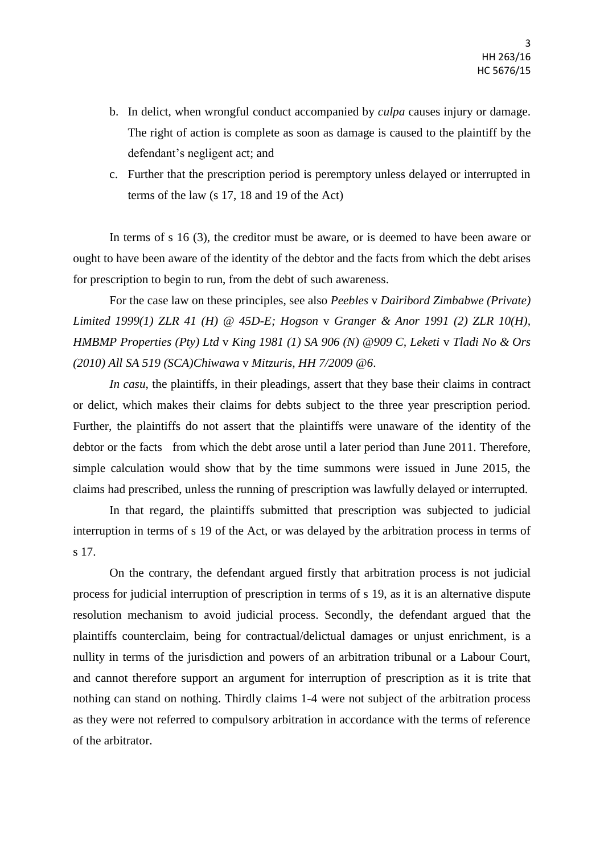- b. In delict, when wrongful conduct accompanied by *culpa* causes injury or damage. The right of action is complete as soon as damage is caused to the plaintiff by the defendant's negligent act; and
- c. Further that the prescription period is peremptory unless delayed or interrupted in terms of the law (s 17, 18 and 19 of the Act)

In terms of s 16 (3), the creditor must be aware, or is deemed to have been aware or ought to have been aware of the identity of the debtor and the facts from which the debt arises for prescription to begin to run, from the debt of such awareness.

For the case law on these principles, see also *Peebles* v *Dairibord Zimbabwe (Private) Limited 1999(1) ZLR 41 (H) @ 45D-E; Hogson* v *Granger & Anor 1991 (2) ZLR 10(H), HMBMP Properties (Pty) Ltd* v *King 1981 (1) SA 906 (N) @909 C, Leketi* v *Tladi No & Ors (2010) All SA 519 (SCA)Chiwawa* v *Mitzuris, HH 7/2009 @6*.

*In casu*, the plaintiffs, in their pleadings, assert that they base their claims in contract or delict, which makes their claims for debts subject to the three year prescription period. Further, the plaintiffs do not assert that the plaintiffs were unaware of the identity of the debtor or the facts from which the debt arose until a later period than June 2011. Therefore, simple calculation would show that by the time summons were issued in June 2015, the claims had prescribed, unless the running of prescription was lawfully delayed or interrupted.

In that regard, the plaintiffs submitted that prescription was subjected to judicial interruption in terms of s 19 of the Act, or was delayed by the arbitration process in terms of s 17.

On the contrary, the defendant argued firstly that arbitration process is not judicial process for judicial interruption of prescription in terms of s 19, as it is an alternative dispute resolution mechanism to avoid judicial process. Secondly, the defendant argued that the plaintiffs counterclaim, being for contractual/delictual damages or unjust enrichment, is a nullity in terms of the jurisdiction and powers of an arbitration tribunal or a Labour Court, and cannot therefore support an argument for interruption of prescription as it is trite that nothing can stand on nothing. Thirdly claims 1-4 were not subject of the arbitration process as they were not referred to compulsory arbitration in accordance with the terms of reference of the arbitrator.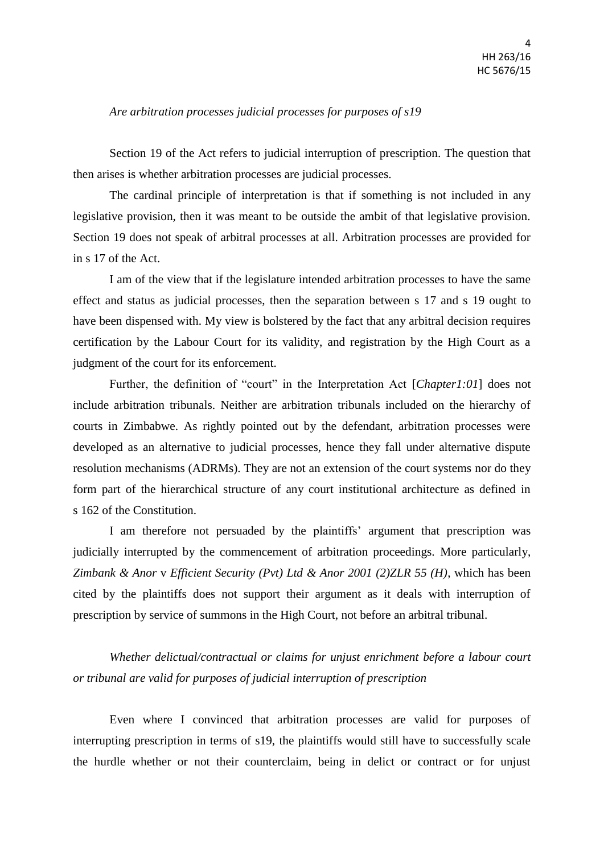## *Are arbitration processes judicial processes for purposes of s19*

Section 19 of the Act refers to judicial interruption of prescription. The question that then arises is whether arbitration processes are judicial processes.

The cardinal principle of interpretation is that if something is not included in any legislative provision, then it was meant to be outside the ambit of that legislative provision. Section 19 does not speak of arbitral processes at all. Arbitration processes are provided for in s 17 of the Act.

I am of the view that if the legislature intended arbitration processes to have the same effect and status as judicial processes, then the separation between s 17 and s 19 ought to have been dispensed with. My view is bolstered by the fact that any arbitral decision requires certification by the Labour Court for its validity, and registration by the High Court as a judgment of the court for its enforcement.

Further, the definition of "court" in the Interpretation Act [*Chapter1:01*] does not include arbitration tribunals. Neither are arbitration tribunals included on the hierarchy of courts in Zimbabwe. As rightly pointed out by the defendant, arbitration processes were developed as an alternative to judicial processes, hence they fall under alternative dispute resolution mechanisms (ADRMs). They are not an extension of the court systems nor do they form part of the hierarchical structure of any court institutional architecture as defined in s 162 of the Constitution.

I am therefore not persuaded by the plaintiffs' argument that prescription was judicially interrupted by the commencement of arbitration proceedings. More particularly, *Zimbank & Anor* v *Efficient Security (Pvt) Ltd & Anor 2001 (2)ZLR 55 (H)*, which has been cited by the plaintiffs does not support their argument as it deals with interruption of prescription by service of summons in the High Court, not before an arbitral tribunal.

*Whether delictual/contractual or claims for unjust enrichment before a labour court or tribunal are valid for purposes of judicial interruption of prescription*

Even where I convinced that arbitration processes are valid for purposes of interrupting prescription in terms of s19, the plaintiffs would still have to successfully scale the hurdle whether or not their counterclaim, being in delict or contract or for unjust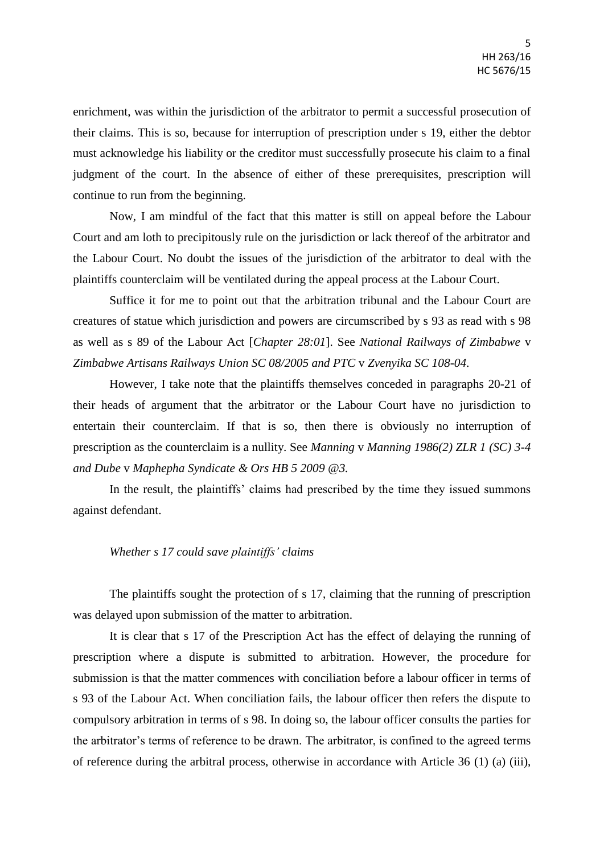enrichment, was within the jurisdiction of the arbitrator to permit a successful prosecution of their claims. This is so, because for interruption of prescription under s 19, either the debtor must acknowledge his liability or the creditor must successfully prosecute his claim to a final judgment of the court. In the absence of either of these prerequisites, prescription will continue to run from the beginning.

Now, I am mindful of the fact that this matter is still on appeal before the Labour Court and am loth to precipitously rule on the jurisdiction or lack thereof of the arbitrator and the Labour Court. No doubt the issues of the jurisdiction of the arbitrator to deal with the plaintiffs counterclaim will be ventilated during the appeal process at the Labour Court.

Suffice it for me to point out that the arbitration tribunal and the Labour Court are creatures of statue which jurisdiction and powers are circumscribed by s 93 as read with s 98 as well as s 89 of the Labour Act [*Chapter 28:01*]. See *National Railways of Zimbabwe* v *Zimbabwe Artisans Railways Union SC 08/2005 and PTC* v *Zvenyika SC 108-04*.

However, I take note that the plaintiffs themselves conceded in paragraphs 20-21 of their heads of argument that the arbitrator or the Labour Court have no jurisdiction to entertain their counterclaim. If that is so, then there is obviously no interruption of prescription as the counterclaim is a nullity. See *Manning* v *Manning 1986(2) ZLR 1 (SC) 3-4 and Dube* v *Maphepha Syndicate & Ors HB 5 2009 @3.*

In the result, the plaintiffs' claims had prescribed by the time they issued summons against defendant.

## *Whether s 17 could save plaintiffs' claims*

The plaintiffs sought the protection of s 17, claiming that the running of prescription was delayed upon submission of the matter to arbitration.

It is clear that s 17 of the Prescription Act has the effect of delaying the running of prescription where a dispute is submitted to arbitration. However, the procedure for submission is that the matter commences with conciliation before a labour officer in terms of s 93 of the Labour Act. When conciliation fails, the labour officer then refers the dispute to compulsory arbitration in terms of s 98. In doing so, the labour officer consults the parties for the arbitrator's terms of reference to be drawn. The arbitrator, is confined to the agreed terms of reference during the arbitral process, otherwise in accordance with Article 36 (1) (a) (iii),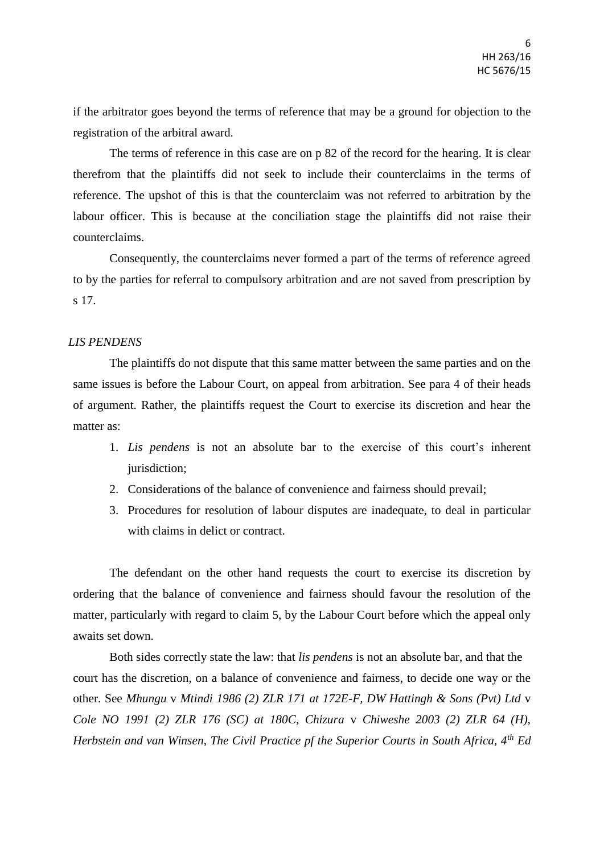if the arbitrator goes beyond the terms of reference that may be a ground for objection to the registration of the arbitral award.

The terms of reference in this case are on p 82 of the record for the hearing. It is clear therefrom that the plaintiffs did not seek to include their counterclaims in the terms of reference. The upshot of this is that the counterclaim was not referred to arbitration by the labour officer. This is because at the conciliation stage the plaintiffs did not raise their counterclaims.

Consequently, the counterclaims never formed a part of the terms of reference agreed to by the parties for referral to compulsory arbitration and are not saved from prescription by s 17.

# *LIS PENDENS*

The plaintiffs do not dispute that this same matter between the same parties and on the same issues is before the Labour Court, on appeal from arbitration. See para 4 of their heads of argument. Rather, the plaintiffs request the Court to exercise its discretion and hear the matter as:

- 1. *Lis pendens* is not an absolute bar to the exercise of this court's inherent jurisdiction;
- 2. Considerations of the balance of convenience and fairness should prevail;
- 3. Procedures for resolution of labour disputes are inadequate, to deal in particular with claims in delict or contract.

The defendant on the other hand requests the court to exercise its discretion by ordering that the balance of convenience and fairness should favour the resolution of the matter, particularly with regard to claim 5, by the Labour Court before which the appeal only awaits set down.

Both sides correctly state the law: that *lis pendens* is not an absolute bar, and that the court has the discretion, on a balance of convenience and fairness, to decide one way or the other. See *Mhungu* v *Mtindi 1986 (2) ZLR 171 at 172E-F, DW Hattingh & Sons (Pvt) Ltd* v *Cole NO 1991 (2) ZLR 176 (SC) at 180C, Chizura* v *Chiweshe 2003 (2) ZLR 64 (H), Herbstein and van Winsen, The Civil Practice pf the Superior Courts in South Africa, 4th Ed*